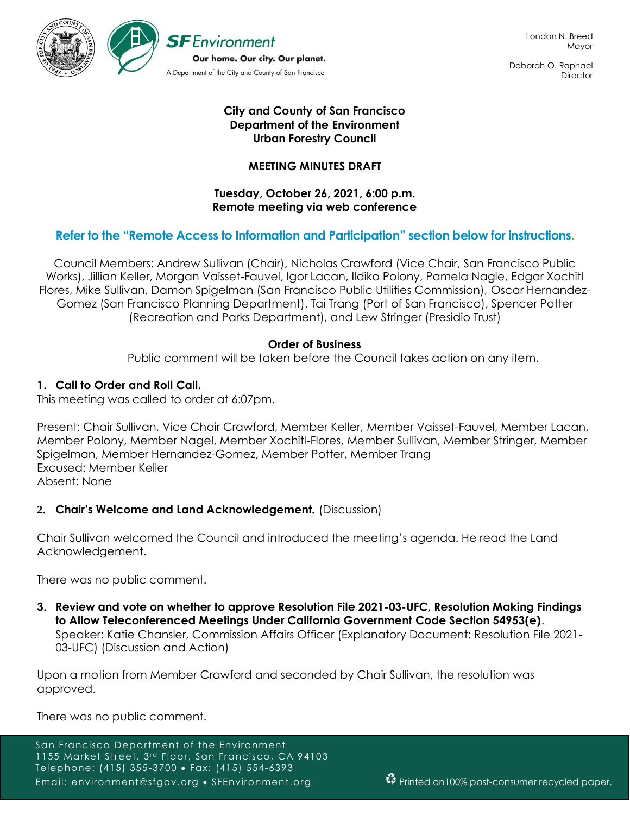

Deborah O. Raphael **Director** 

# **City and County of San Francisco Department of the Environment Urban Forestry Council**

# **MEETING MINUTES DRAFT**

### **Tuesday, October 26, 2021, 6:00 p.m. Remote meeting via web conference**

# **Refer to the "Remote Access to Information and Participation" section below for instructions.**

Council Members: Andrew Sullivan (Chair), Nicholas Crawford (Vice Chair, San Francisco Public Works), Jillian Keller, Morgan Vaisset-Fauvel, Igor Lacan, Ildiko Polony, Pamela Nagle, Edgar Xochitl Flores, Mike Sullivan, Damon Spigelman (San Francisco Public Utilities Commission), Oscar Hernandez-Gomez (San Francisco Planning Department), Tai Trang (Port of San Francisco), Spencer Potter (Recreation and Parks Department), and Lew Stringer (Presidio Trust)

## **Order of Business**

Public comment will be taken before the Council takes action on any item.

## **1. Call to Order and Roll Call.**

This meeting was called to order at 6:07pm.

Present: Chair Sullivan, Vice Chair Crawford, Member Keller, Member Vaisset-Fauvel, Member Lacan, Member Polony, Member Nagel, Member Xochitl-Flores, Member Sullivan, Member Stringer, Member Spigelman, Member Hernandez-Gomez, Member Potter, Member Trang Excused: Member Keller Absent: None

## **2. Chair's Welcome and Land Acknowledgement.** (Discussion)

Chair Sullivan welcomed the Council and introduced the meeting's agenda. He read the Land Acknowledgement.

There was no public comment.

**3. Review and vote on whether to approve Resolution File 2021-03-UFC, Resolution Making Findings to Allow Teleconferenced Meetings Under California Government Code Section 54953(e)**. Speaker: Katie Chansler, Commission Affairs Officer (Explanatory Document: Resolution File 2021- 03-UFC) (Discussion and Action)

Upon a motion from Member Crawford and seconded by Chair Sullivan, the resolution was approved.

There was no public comment.

San Francisco Department of the Environment 1155 Market Street, 3<sup>rd</sup> Floor, San Francisco, CA 94103 Telephone: (415) 355-3700 • Fax: (415) 554-6393 Email: environment@sfgov.org • SFEnvironment.org **Printed on100%** post-consumer recycled paper.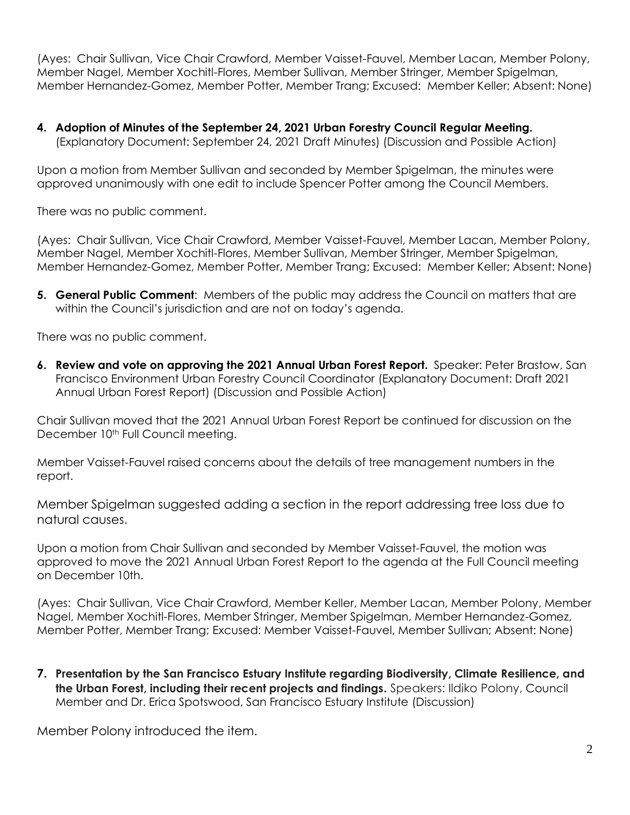(Ayes: Chair Sullivan, Vice Chair Crawford, Member Vaisset-Fauvel, Member Lacan, Member Polony, Member Nagel, Member Xochitl-Flores, Member Sullivan, Member Stringer, Member Spigelman, Member Hernandez-Gomez, Member Potter, Member Trang; Excused: Member Keller; Absent: None)

**4. Adoption of Minutes of the September 24, 2021 Urban Forestry Council Regular Meeting.**  (Explanatory Document: September 24, 2021 Draft Minutes) (Discussion and Possible Action)

Upon a motion from Member Sullivan and seconded by Member Spigelman, the minutes were approved unanimously with one edit to include Spencer Potter among the Council Members.

There was no public comment.

(Ayes: Chair Sullivan, Vice Chair Crawford, Member Vaisset-Fauvel, Member Lacan, Member Polony, Member Nagel, Member Xochitl-Flores, Member Sullivan, Member Stringer, Member Spigelman, Member Hernandez-Gomez, Member Potter, Member Trang; Excused: Member Keller; Absent: None)

**5. General Public Comment**: Members of the public may address the Council on matters that are within the Council's jurisdiction and are not on today's agenda.

There was no public comment.

**6. Review and vote on approving the 2021 Annual Urban Forest Report.** Speaker: Peter Brastow, San Francisco Environment Urban Forestry Council Coordinator (Explanatory Document: Draft 2021 Annual Urban Forest Report) (Discussion and Possible Action)

Chair Sullivan moved that the 2021 Annual Urban Forest Report be continued for discussion on the December 10<sup>th</sup> Full Council meeting.

Member Vaisset-Fauvel raised concerns about the details of tree management numbers in the report.

Member Spigelman suggested adding a section in the report addressing tree loss due to natural causes.

Upon a motion from Chair Sullivan and seconded by Member Vaisset-Fauvel, the motion was approved to move the 2021 Annual Urban Forest Report to the agenda at the Full Council meeting on December 10th.

(Ayes: Chair Sullivan, Vice Chair Crawford, Member Keller, Member Lacan, Member Polony, Member Nagel, Member Xochitl-Flores, Member Stringer, Member Spigelman, Member Hernandez-Gomez, Member Potter, Member Trang; Excused: Member Vaisset-Fauvel, Member Sullivan; Absent: None)

**7. Presentation by the San Francisco Estuary Institute regarding Biodiversity, Climate Resilience, and the Urban Forest, including their recent projects and findings.** Speakers: Ildiko Polony, Council Member and Dr. Erica Spotswood, San Francisco Estuary Institute (Discussion)

Member Polony introduced the item.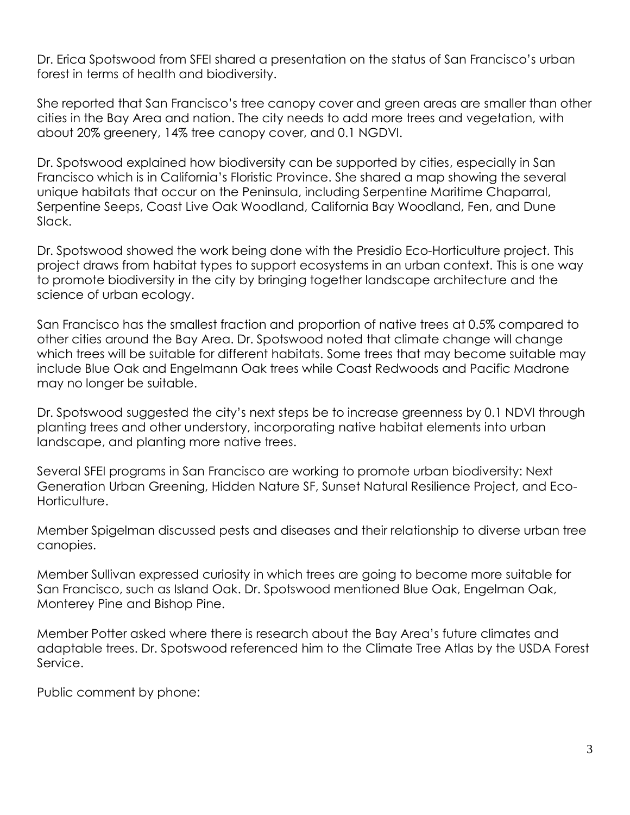Dr. Erica Spotswood from SFEI shared a presentation on the status of San Francisco's urban forest in terms of health and biodiversity.

She reported that San Francisco's tree canopy cover and green areas are smaller than other cities in the Bay Area and nation. The city needs to add more trees and vegetation, with about 20% greenery, 14% tree canopy cover, and 0.1 NGDVI.

Dr. Spotswood explained how biodiversity can be supported by cities, especially in San Francisco which is in California's Floristic Province. She shared a map showing the several unique habitats that occur on the Peninsula, including Serpentine Maritime Chaparral, Serpentine Seeps, Coast Live Oak Woodland, California Bay Woodland, Fen, and Dune Slack.

Dr. Spotswood showed the work being done with the Presidio Eco-Horticulture project. This project draws from habitat types to support ecosystems in an urban context. This is one way to promote biodiversity in the city by bringing together landscape architecture and the science of urban ecology.

San Francisco has the smallest fraction and proportion of native trees at 0.5% compared to other cities around the Bay Area. Dr. Spotswood noted that climate change will change which trees will be suitable for different habitats. Some trees that may become suitable may include Blue Oak and Engelmann Oak trees while Coast Redwoods and Pacific Madrone may no longer be suitable.

Dr. Spotswood suggested the city's next steps be to increase greenness by 0.1 NDVI through planting trees and other understory, incorporating native habitat elements into urban landscape, and planting more native trees.

Several SFEI programs in San Francisco are working to promote urban biodiversity: Next Generation Urban Greening, Hidden Nature SF, Sunset Natural Resilience Project, and Eco-Horticulture.

Member Spigelman discussed pests and diseases and their relationship to diverse urban tree canopies.

Member Sullivan expressed curiosity in which trees are going to become more suitable for San Francisco, such as Island Oak. Dr. Spotswood mentioned Blue Oak, Engelman Oak, Monterey Pine and Bishop Pine.

Member Potter asked where there is research about the Bay Area's future climates and adaptable trees. Dr. Spotswood referenced him to the Climate Tree Atlas by the USDA Forest Service.

Public comment by phone: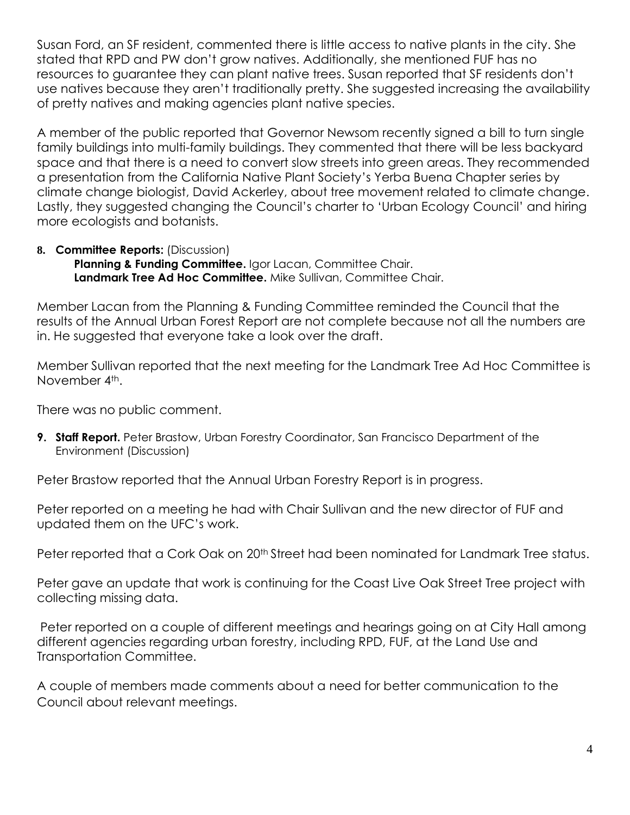Susan Ford, an SF resident, commented there is little access to native plants in the city. She stated that RPD and PW don't grow natives. Additionally, she mentioned FUF has no resources to guarantee they can plant native trees. Susan reported that SF residents don't use natives because they aren't traditionally pretty. She suggested increasing the availability of pretty natives and making agencies plant native species.

A member of the public reported that Governor Newsom recently signed a bill to turn single family buildings into multi-family buildings. They commented that there will be less backyard space and that there is a need to convert slow streets into green areas. They recommended a presentation from the California Native Plant Society's Yerba Buena Chapter series by climate change biologist, David Ackerley, about tree movement related to climate change. Lastly, they suggested changing the Council's charter to 'Urban Ecology Council' and hiring more ecologists and botanists.

### **8. Committee Reports:** (Discussion) **Planning & Funding Committee.** Igor Lacan, Committee Chair. **Landmark Tree Ad Hoc Committee.** Mike Sullivan, Committee Chair.

Member Lacan from the Planning & Funding Committee reminded the Council that the results of the Annual Urban Forest Report are not complete because not all the numbers are in. He suggested that everyone take a look over the draft.

Member Sullivan reported that the next meeting for the Landmark Tree Ad Hoc Committee is November 4<sup>th</sup>.

There was no public comment.

**9. Staff Report.** Peter Brastow, Urban Forestry Coordinator, San Francisco Department of the Environment (Discussion)

Peter Brastow reported that the Annual Urban Forestry Report is in progress.

Peter reported on a meeting he had with Chair Sullivan and the new director of FUF and updated them on the UFC's work.

Peter reported that a Cork Oak on 20<sup>th</sup> Street had been nominated for Landmark Tree status.

Peter gave an update that work is continuing for the Coast Live Oak Street Tree project with collecting missing data.

Peter reported on a couple of different meetings and hearings going on at City Hall among different agencies regarding urban forestry, including RPD, FUF, at the Land Use and Transportation Committee.

A couple of members made comments about a need for better communication to the Council about relevant meetings.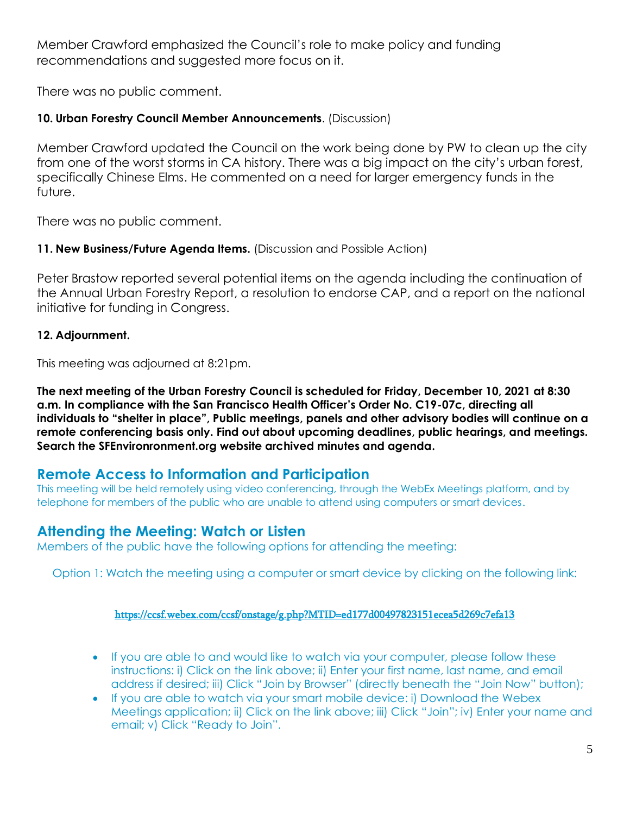Member Crawford emphasized the Council's role to make policy and funding recommendations and suggested more focus on it.

There was no public comment.

# **10. Urban Forestry Council Member Announcements**. (Discussion)

Member Crawford updated the Council on the work being done by PW to clean up the city from one of the worst storms in CA history. There was a big impact on the city's urban forest, specifically Chinese Elms. He commented on a need for larger emergency funds in the future.

There was no public comment.

# **11. New Business/Future Agenda Items.** (Discussion and Possible Action)

Peter Brastow reported several potential items on the agenda including the continuation of the Annual Urban Forestry Report, a resolution to endorse CAP, and a report on the national initiative for funding in Congress.

# **12. Adjournment.**

This meeting was adjourned at 8:21pm.

**The next meeting of the Urban Forestry Council is scheduled for Friday, December 10, 2021 at 8:30 a.m. In compliance with the San Francisco Health Officer's Order No. C19-07c, directing all individuals to "shelter in place", Public meetings, panels and other advisory bodies will continue on a remote conferencing basis only. Find out about upcoming deadlines, public hearings, and meetings. Search the SFEnvironronment.org website archived minutes and agenda.**

# **Remote Access to Information and Participation**

This meeting will be held remotely using video conferencing, through the WebEx Meetings platform, and by telephone for members of the public who are unable to attend using computers or smart devices.

# **Attending the Meeting: Watch or Listen**

Members of the public have the following options for attending the meeting:

Option 1: Watch the meeting using a computer or smart device by clicking on the following link:

# <https://ccsf.webex.com/ccsf/onstage/g.php?MTID=ed177d00497823151ecea5d269c7efa13>

- If you are able to and would like to watch via your computer, please follow these instructions: i) Click on the link above; ii) Enter your first name, last name, and email address if desired; iii) Click "Join by Browser" (directly beneath the "Join Now" button);
- If you are able to watch via your smart mobile device: i) Download the Webex Meetings application; ii) Click on the link above; iii) Click "Join"; iv) Enter your name and email; v) Click "Ready to Join".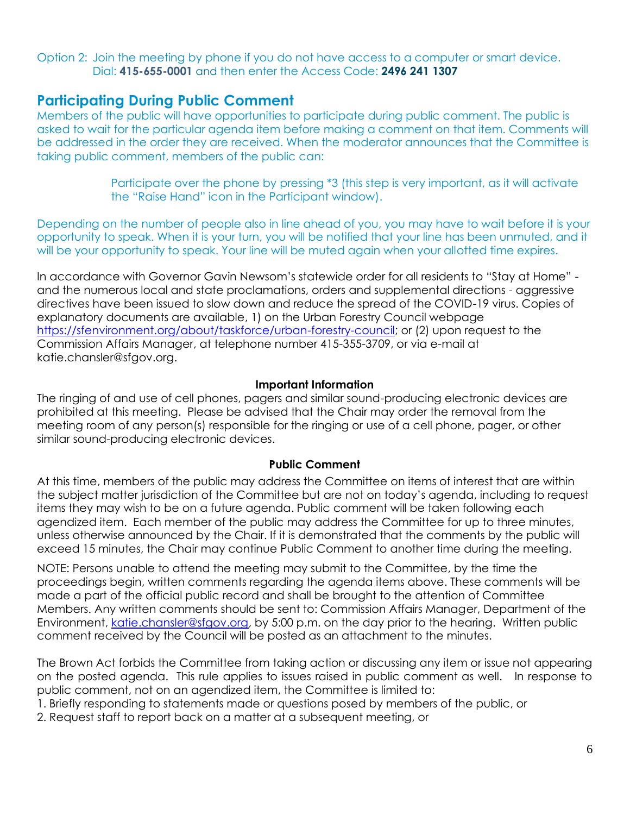Option 2: Join the meeting by phone if you do not have access to a computer or smart device. Dial: **415-655-0001** and then enter the Access Code: **2496 241 1307**

# **Participating During Public Comment**

Members of the public will have opportunities to participate during public comment. The public is asked to wait for the particular agenda item before making a comment on that item. Comments will be addressed in the order they are received. When the moderator announces that the Committee is taking public comment, members of the public can:

> Participate over the phone by pressing \*3 (this step is very important, as it will activate the "Raise Hand" icon in the Participant window).

Depending on the number of people also in line ahead of you, you may have to wait before it is your opportunity to speak. When it is your turn, you will be notified that your line has been unmuted, and it will be your opportunity to speak. Your line will be muted again when your allotted time expires.

In accordance with Governor Gavin Newsom's statewide order for all residents to "Stay at Home" and the numerous local and state proclamations, orders and supplemental directions - aggressive directives have been issued to slow down and reduce the spread of the COVID-19 virus. Copies of explanatory documents are available, 1) on the Urban Forestry Council webpage [https://sfenvironment.org/about/taskforce/urban-forestry-council;](https://sfenvironment.org/about/taskforce/urban-forestry-council) or (2) upon request to the Commission Affairs Manager, at telephone number 415-355-3709, or via e-mail at katie.chansler@sfgov.org.

### **Important Information**

The ringing of and use of cell phones, pagers and similar sound-producing electronic devices are prohibited at this meeting. Please be advised that the Chair may order the removal from the meeting room of any person(s) responsible for the ringing or use of a cell phone, pager, or other similar sound-producing electronic devices.

#### **Public Comment**

At this time, members of the public may address the Committee on items of interest that are within the subject matter jurisdiction of the Committee but are not on today's agenda, including to request items they may wish to be on a future agenda. Public comment will be taken following each agendized item. Each member of the public may address the Committee for up to three minutes, unless otherwise announced by the Chair. If it is demonstrated that the comments by the public will exceed 15 minutes, the Chair may continue Public Comment to another time during the meeting.

NOTE: Persons unable to attend the meeting may submit to the Committee, by the time the proceedings begin, written comments regarding the agenda items above. These comments will be made a part of the official public record and shall be brought to the attention of Committee Members. Any written comments should be sent to: Commission Affairs Manager, Department of the Environment, [katie.chansler@sfgov.org,](mailto:katie.chansler@sfgov.org) by 5:00 p.m. on the day prior to the hearing. Written public comment received by the Council will be posted as an attachment to the minutes.

The Brown Act forbids the Committee from taking action or discussing any item or issue not appearing on the posted agenda. This rule applies to issues raised in public comment as well. In response to public comment, not on an agendized item, the Committee is limited to:

- 1. Briefly responding to statements made or questions posed by members of the public, or
- 2. Request staff to report back on a matter at a subsequent meeting, or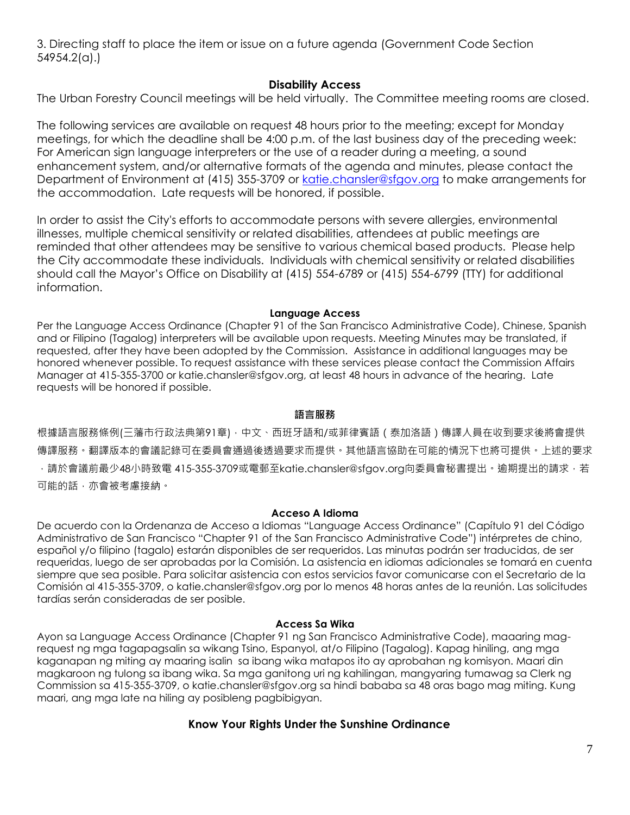3. Directing staff to place the item or issue on a future agenda (Government Code Section 54954.2(a).)

## **Disability Access**

The Urban Forestry Council meetings will be held virtually. The Committee meeting rooms are closed.

The following services are available on request 48 hours prior to the meeting; except for Monday meetings, for which the deadline shall be 4:00 p.m. of the last business day of the preceding week: For American sign language interpreters or the use of a reader during a meeting, a sound enhancement system, and/or alternative formats of the agenda and minutes, please contact the Department of Environment at (415) 355-3709 or [katie.chansler@sfgov.org](mailto:katie.chansler@sfgov.org) to make arrangements for the accommodation. Late requests will be honored, if possible.

In order to assist the City's efforts to accommodate persons with severe allergies, environmental illnesses, multiple chemical sensitivity or related disabilities, attendees at public meetings are reminded that other attendees may be sensitive to various chemical based products. Please help the City accommodate these individuals. Individuals with chemical sensitivity or related disabilities should call the Mayor's Office on Disability at (415) 554-6789 or (415) 554-6799 (TTY) for additional information.

#### **Language Access**

Per the Language Access Ordinance (Chapter 91 of the San Francisco Administrative Code), Chinese, Spanish and or Filipino (Tagalog) interpreters will be available upon requests. Meeting Minutes may be translated, if requested, after they have been adopted by the Commission. Assistance in additional languages may be honored whenever possible. To request assistance with these services please contact the Commission Affairs Manager at 415-355-3700 or katie.chansler@sfgov.org, at least 48 hours in advance of the hearing. Late requests will be honored if possible.

### **語言服務**

根據語言服務條例(三藩市行政法典第91章),中文、西班牙語和/或菲律賓語(泰加洛語)傳譯人員在收到要求後將會提供 傳譯服務。翻譯版本的會議記錄可在委員會通過後透過要求而提供。其他語言協助在可能的情況下也將可提供。上述的要求 ·請於會議前最少48小時致電 415-355-3709或電郵至katie.chansler@sfgov.org向委員會秘書提出。逾期提出的請求·若 可能的話,亦會被考慮接納。

#### **Acceso A Idioma**

De acuerdo con la Ordenanza de Acceso a Idiomas "Language Access Ordinance" (Capítulo 91 del Código Administrativo de San Francisco "Chapter 91 of the San Francisco Administrative Code") intérpretes de chino, español y/o filipino (tagalo) estarán disponibles de ser requeridos. Las minutas podrán ser traducidas, de ser requeridas, luego de ser aprobadas por la Comisión. La asistencia en idiomas adicionales se tomará en cuenta siempre que sea posible. Para solicitar asistencia con estos servicios favor comunicarse con el Secretario de la Comisión al 415-355-3709, o katie.chansler@sfgov.org por lo menos 48 horas antes de la reunión. Las solicitudes tardías serán consideradas de ser posible.

#### **Access Sa Wika**

Ayon sa Language Access Ordinance (Chapter 91 ng San Francisco Administrative Code), maaaring magrequest ng mga tagapagsalin sa wikang Tsino, Espanyol, at/o Filipino (Tagalog). Kapag hiniling, ang mga kaganapan ng miting ay maaring isalin sa ibang wika matapos ito ay aprobahan ng komisyon. Maari din magkaroon ng tulong sa ibang wika. Sa mga ganitong uri ng kahilingan, mangyaring tumawag sa Clerk ng Commission sa 415-355-3709, o katie.chansler@sfgov.org sa hindi bababa sa 48 oras bago mag miting. Kung maari, ang mga late na hiling ay posibleng pagbibigyan.

## **Know Your Rights Under the Sunshine Ordinance**